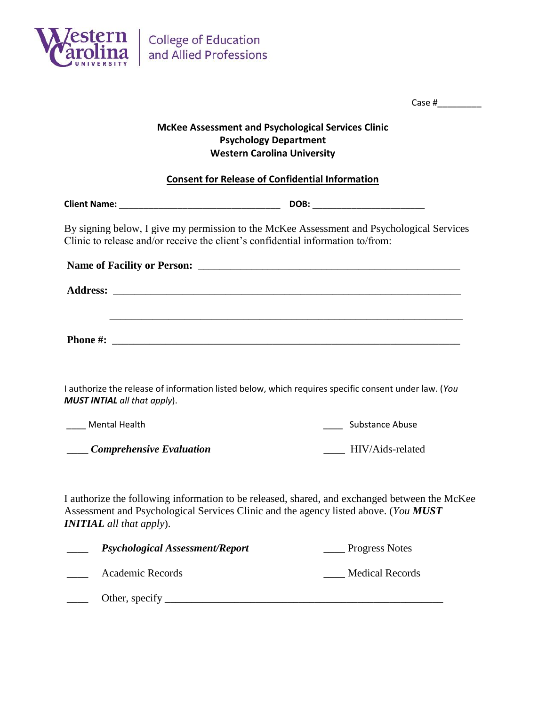

|                                                                                                                                                                                                                         | Case # $\frac{1}{2}$                                                              |  |  |
|-------------------------------------------------------------------------------------------------------------------------------------------------------------------------------------------------------------------------|-----------------------------------------------------------------------------------|--|--|
| <b>McKee Assessment and Psychological Services Clinic</b><br><b>Psychology Department</b><br><b>Western Carolina University</b>                                                                                         |                                                                                   |  |  |
| <b>Consent for Release of Confidential Information</b>                                                                                                                                                                  |                                                                                   |  |  |
|                                                                                                                                                                                                                         |                                                                                   |  |  |
| By signing below, I give my permission to the McKee Assessment and Psychological Services<br>Clinic to release and/or receive the client's confidential information to/from:                                            |                                                                                   |  |  |
|                                                                                                                                                                                                                         |                                                                                   |  |  |
|                                                                                                                                                                                                                         |                                                                                   |  |  |
|                                                                                                                                                                                                                         | ,我们也不能在这里的时候,我们也不能在这里的时候,我们也不能会在这里的时候,我们也不能会在这里的时候,我们也不能会在这里的时候,我们也不能会在这里的时候,我们也不 |  |  |
|                                                                                                                                                                                                                         |                                                                                   |  |  |
|                                                                                                                                                                                                                         |                                                                                   |  |  |
| I authorize the release of information listed below, which requires specific consent under law. (You<br><b>MUST INTIAL</b> all that apply).                                                                             |                                                                                   |  |  |
| Mental Health                                                                                                                                                                                                           | <b>Substance Abuse</b>                                                            |  |  |
| Comprehensive Evaluation                                                                                                                                                                                                | HIV/Aids-related                                                                  |  |  |
| I authorize the following information to be released, shared, and exchanged between the McKee<br>Assessment and Psychological Services Clinic and the agency listed above. (You MUST<br><b>INITIAL</b> all that apply). |                                                                                   |  |  |
| <b>Psychological Assessment/Report</b>                                                                                                                                                                                  | <b>Progress Notes</b>                                                             |  |  |
| Academic Records                                                                                                                                                                                                        | <b>Medical Records</b>                                                            |  |  |
| Other, specify                                                                                                                                                                                                          |                                                                                   |  |  |